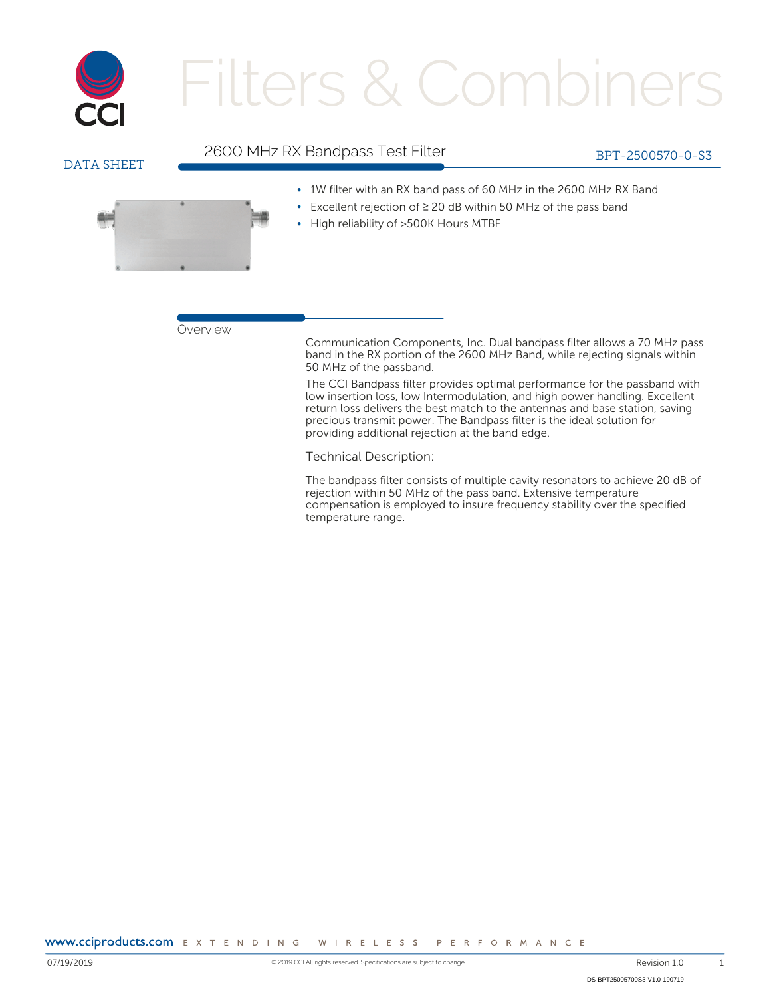

# ilters & Combiners

## 2600 MHz RX Bandpass Test Filter BPT-2500570-0-S3



- 1W filter with an RX band pass of 60 MHz in the 2600 MHz RX Band
- Excellent rejection of ≥ 20 dB within 50 MHz of the pass band
- High reliability of >500K Hours MTBF

### Overview

Communication Components, Inc. Dual bandpass filter allows a 70 MHz pass band in the RX portion of the 2600 MHz Band, while rejecting signals within 50 MHz of the passband.

The CCI Bandpass filter provides optimal performance for the passband with low insertion loss, low Intermodulation, and high power handling. Excellent return loss delivers the best match to the antennas and base station, saving precious transmit power. The Bandpass filter is the ideal solution for providing additional rejection at the band edge.

Technical Description:

The bandpass filter consists of multiple cavity resonators to achieve 20 dB of rejection within 50 MHz of the pass band. Extensive temperature compensation is employed to insure frequency stability over the specified temperature range.

WWW.cciproducts.com E X T E N D I N G WIRELESS PERFORMANCE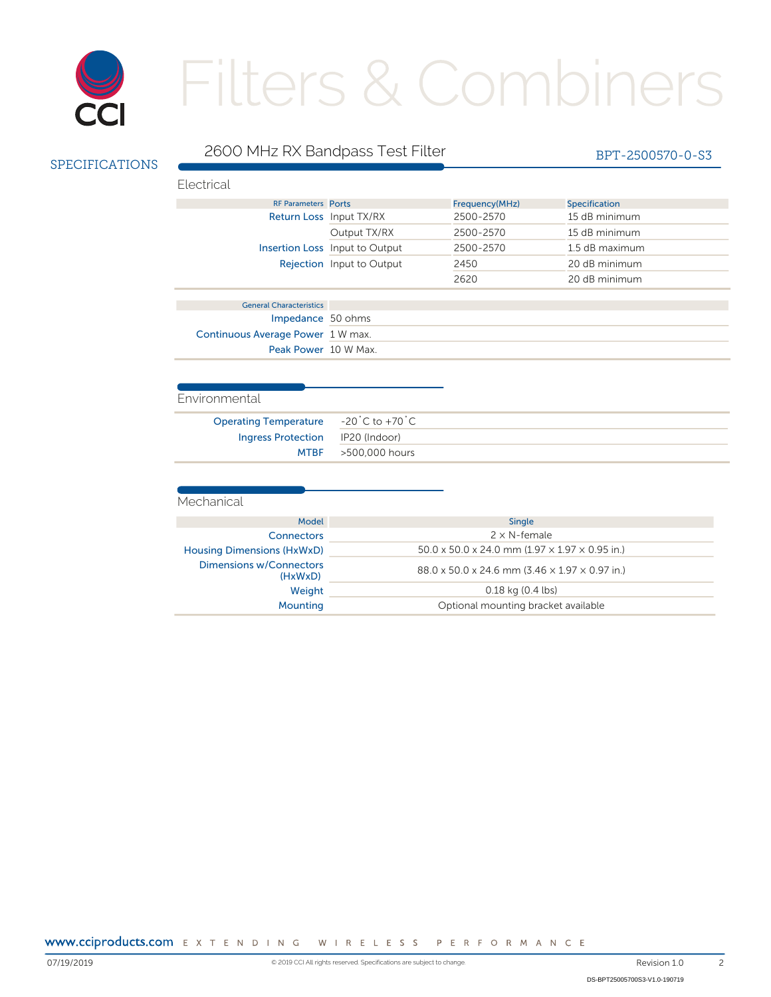

# e Filters & Combiners

| <b>SPECIFICATIONS</b> | 2600 MHz RX Bandpass Test Filter                                           |                                                     |                                                | BPT-2500570-0-S3 |
|-----------------------|----------------------------------------------------------------------------|-----------------------------------------------------|------------------------------------------------|------------------|
|                       | Electrical                                                                 |                                                     |                                                |                  |
|                       | <b>RF Parameters Ports</b>                                                 |                                                     | Frequency(MHz)                                 | Specification    |
|                       |                                                                            | Return Loss Input TX/RX                             | 2500-2570                                      | 15 dB minimum    |
|                       |                                                                            | Output TX/RX                                        | 2500-2570                                      | 15 dB minimum    |
|                       |                                                                            | Insertion Loss Input to Output                      | 2500-2570                                      | 1.5 dB maximum   |
|                       |                                                                            | Rejection Input to Output                           | 2450                                           | 20 dB minimum    |
|                       |                                                                            |                                                     | 2620                                           | 20 dB minimum    |
|                       | <b>General Characteristics</b>                                             |                                                     |                                                |                  |
|                       | Impedance 50 ohms                                                          |                                                     |                                                |                  |
|                       | Continuous Average Power 1 W max.                                          |                                                     |                                                |                  |
|                       | Peak Power 10 W Max.                                                       |                                                     |                                                |                  |
|                       | Environmental<br><b>Operating Temperature</b><br><b>Ingress Protection</b> | $-20^{\circ}$ C to $+70^{\circ}$ C<br>IP20 (Indoor) |                                                |                  |
|                       | <b>MTBF</b>                                                                | >500,000 hours                                      |                                                |                  |
|                       | Mechanical                                                                 |                                                     |                                                |                  |
|                       | Model                                                                      |                                                     | Single                                         |                  |
|                       | <b>Connectors</b>                                                          |                                                     | $2 \times N$ -female                           |                  |
|                       | <b>Housing Dimensions (HxWxD)</b>                                          |                                                     | 50.0 x 50.0 x 24.0 mm (1.97 x 1.97 x 0.95 in.) |                  |
|                       | <b>Dimensions w/Connectors</b><br>(HxWxD)                                  | 88.0 x 50.0 x 24.6 mm (3.46 x 1.97 x 0.97 in.)      |                                                |                  |
|                       | Weight                                                                     |                                                     | 0.18 kg (0.4 lbs)                              |                  |
|                       | <b>Mounting</b>                                                            |                                                     | Optional mounting bracket available            |                  |
|                       |                                                                            |                                                     |                                                |                  |

WWW.cciproducts.com EXTENDING WIRELESS PERFORMANCE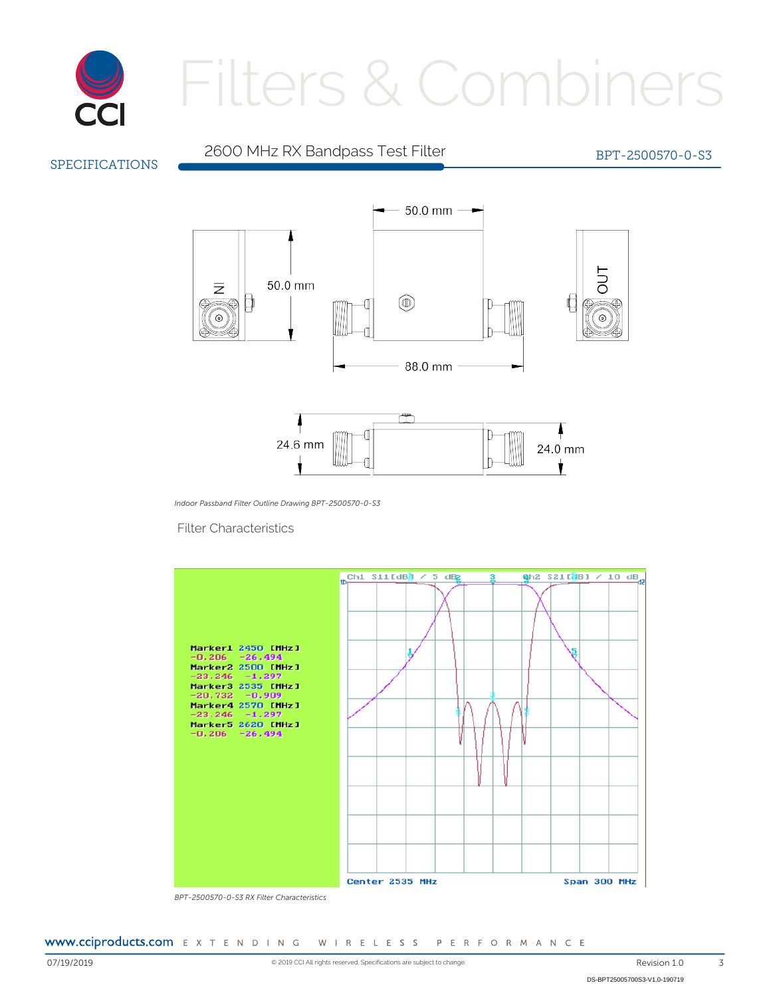

## 2600 MHz RX Bandpass Test Filter BPT-2500570-0-S3



*Indoor Passband Filter Outline Drawing BPT-2500570-0-S3*

### Filter Characteristics



*BPT-2500570-0-S3 RX Filter Characteristics*

WWW.cciproducts.com EXTENDING WIRELESS PERFORMANCE